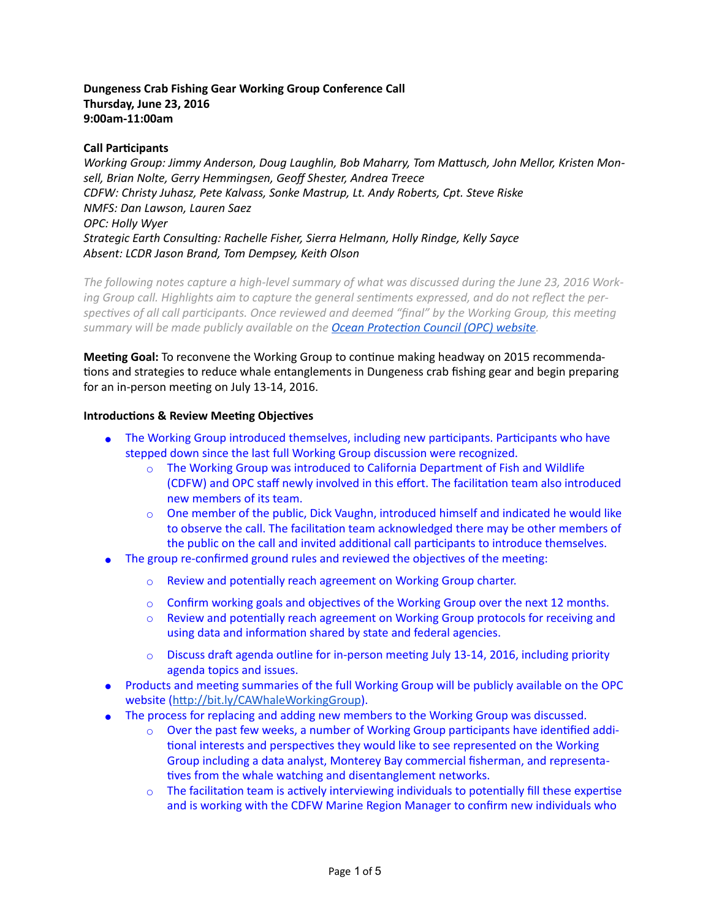# **Dungeness Crab Fishing Gear Working Group Conference Call Thursday, June 23, 2016 9:00am-11:00am**

# **Call Participants**

Working Group: Jimmy Anderson, Doug Laughlin, Bob Maharry, Tom Mattusch, John Mellor, Kristen Mon*sell, Brian Nolte, Gerry Hemmingsen, Geoff Shester, Andrea Treece CDFW: Christy Juhasz, Pete Kalvass, Sonke Mastrup, Lt. Andy Roberts, Cpt. Steve Riske NMFS: Dan Lawson, Lauren Saez OPC: Holly Wyer Strategic Earth Consulting: Rachelle Fisher, Sierra Helmann, Holly Rindge, Kelly Sayce Absent: LCDR Jason Brand, Tom Dempsey, Keith Olson*

*The following notes capture a high-level summary of what was discussed during the June 23, 2016 Work*ing Group call. Highlights aim to capture the general sentiments expressed, and do not reflect the perspectives of all call participants. Once reviewed and deemed "final" by the Working Group, this meeting *summary will be made publicly available on the Ocean Protection Council (OPC) website.* 

**Meeting Goal:** To reconvene the Working Group to continue making headway on 2015 recommendations and strategies to reduce whale entanglements in Dungeness crab fishing gear and begin preparing for an in-person meeting on July 13-14, 2016.

#### **Introductions & Review Meeting Objectives**

- The Working Group introduced themselves, including new participants. Participants who have stepped down since the last full Working Group discussion were recognized.
	- $\circ$  The Working Group was introduced to California Department of Fish and Wildlife (CDFW) and OPC staff newly involved in this effort. The facilitation team also introduced new members of its team.
	- $\circ$  One member of the public, Dick Vaughn, introduced himself and indicated he would like to observe the call. The facilitation team acknowledged there may be other members of the public on the call and invited additional call participants to introduce themselves.
- The group re-confirmed ground rules and reviewed the objectives of the meeting:
	- o Review and potentially reach agreement on Working Group charter.
	- $\circ$  Confirm working goals and objectives of the Working Group over the next 12 months.
	- $\circ$  Review and potentially reach agreement on Working Group protocols for receiving and using data and information shared by state and federal agencies.
	- $\circ$  Discuss draft agenda outline for in-person meeting July 13-14, 2016, including priority agenda topics and issues.
- Products and meeting summaries of the full Working Group will be publicly available on the OPC website (http://bit.ly/CAWhaleWorkingGroup).
- The process for replacing and adding new members to the Working Group was discussed.
	- $\circ$  Over the past few weeks, a number of Working Group participants have identified additional interests and perspectives they would like to see represented on the Working Group including a data analyst, Monterey Bay commercial fisherman, and representatives from the whale watching and disentanglement networks.
	- $\circ$  The facilitation team is actively interviewing individuals to potentially fill these expertise and is working with the CDFW Marine Region Manager to confirm new individuals who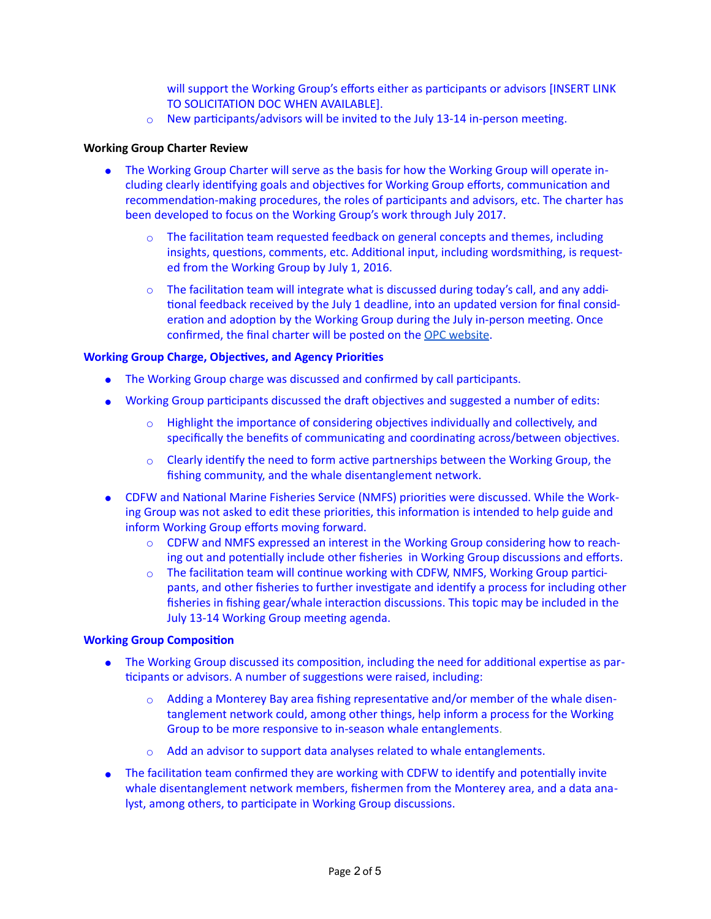will support the Working Group's efforts either as participants or advisors [INSERT LINK TO SOLICITATION DOC WHEN AVAILABLE].

 $\circ$  New participants/advisors will be invited to the July 13-14 in-person meeting.

## **Working Group Charter Review**

- The Working Group Charter will serve as the basis for how the Working Group will operate including clearly identifying goals and objectives for Working Group efforts, communication and recommendation-making procedures, the roles of participants and advisors, etc. The charter has been developed to focus on the Working Group's work through July 2017.
	- $\circ$  The facilitation team requested feedback on general concepts and themes, including insights, questions, comments, etc. Additional input, including wordsmithing, is requested from the Working Group by July 1, 2016.
	- $\circ$  The facilitation team will integrate what is discussed during today's call, and any additional feedback received by the July 1 deadline, into an updated version for final consideration and adoption by the Working Group during the July in-person meeting. Once confirmed, the final charter will be posted on the [OPC website.](http://bit.ly/CAWhaleWorkingGroup)

# **Working Group Charge, Objectives, and Agency Priorities**

- The Working Group charge was discussed and confirmed by call participants.
- Working Group participants discussed the draft objectives and suggested a number of edits:
	- $\circ$  Highlight the importance of considering objectives individually and collectively, and specifically the benefits of communicating and coordinating across/between objectives.
	- $\circ$  Clearly identify the need to form active partnerships between the Working Group, the fishing community, and the whale disentanglement network.
- CDFW and National Marine Fisheries Service (NMFS) priorities were discussed. While the Working Group was not asked to edit these priorities, this information is intended to help guide and inform Working Group efforts moving forward.
	- $\circ$  CDFW and NMFS expressed an interest in the Working Group considering how to reaching out and potentially include other fisheries in Working Group discussions and efforts.
	- $\circ$  The facilitation team will continue working with CDFW, NMFS, Working Group participants, and other fisheries to further investigate and identify a process for including other fisheries in fishing gear/whale interaction discussions. This topic may be included in the July 13-14 Working Group meeting agenda.

#### **Working Group Composition**

- The Working Group discussed its composition, including the need for additional expertise as participants or advisors. A number of suggestions were raised, including:
	- $\circ$  Adding a Monterey Bay area fishing representative and/or member of the whale disentanglement network could, among other things, help inform a process for the Working Group to be more responsive to in-season whale entanglements.
	- Add an advisor to support data analyses related to whale entanglements.
- The facilitation team confirmed they are working with CDFW to identify and potentially invite whale disentanglement network members, fishermen from the Monterey area, and a data analyst, among others, to participate in Working Group discussions.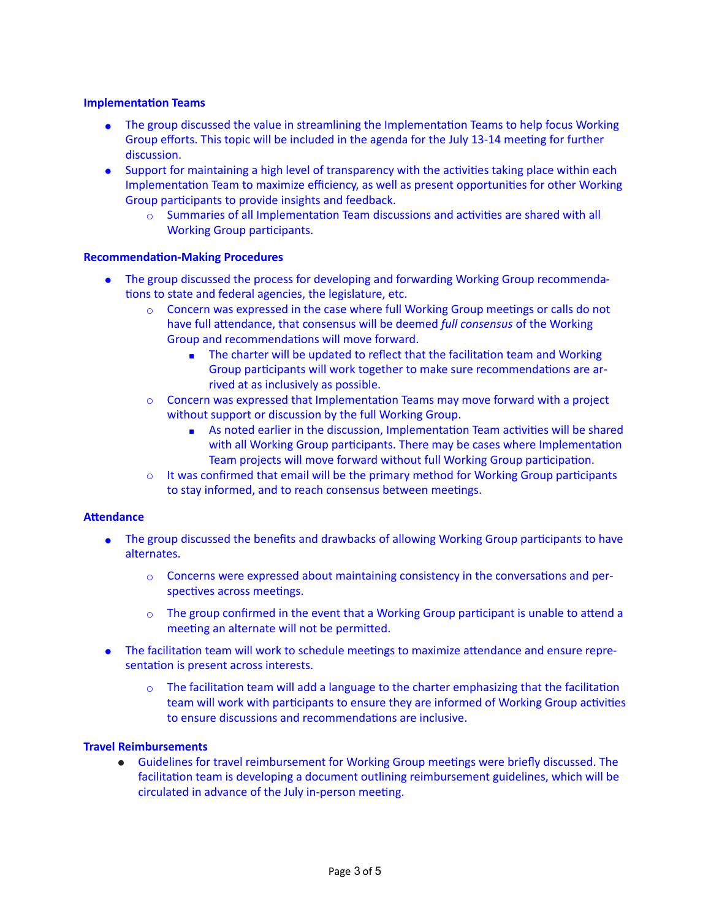# **Implementation Teams**

- The group discussed the value in streamlining the Implementation Teams to help focus Working Group efforts. This topic will be included in the agenda for the July 13-14 meeting for further discussion.
- Support for maintaining a high level of transparency with the activities taking place within each Implementation Team to maximize efficiency, as well as present opportunities for other Working Group participants to provide insights and feedback.
	- $\circ$  Summaries of all Implementation Team discussions and activities are shared with all Working Group participants.

#### **Recommendation-Making Procedures**

- The group discussed the process for developing and forwarding Working Group recommendations to state and federal agencies, the legislature, etc.
	- $\circ$  Concern was expressed in the case where full Working Group meetings or calls do not have full attendance, that consensus will be deemed *full consensus* of the Working Group and recommendations will move forward.
		- The charter will be updated to reflect that the facilitation team and Working Group participants will work together to make sure recommendations are arrived at as inclusively as possible.
	- $\circ$  Concern was expressed that Implementation Teams may move forward with a project without support or discussion by the full Working Group.
		- As noted earlier in the discussion, Implementation Team activities will be shared with all Working Group participants. There may be cases where Implementation Team projects will move forward without full Working Group participation.
	- $\circ$  It was confirmed that email will be the primary method for Working Group participants to stay informed, and to reach consensus between meetings.

#### **Attendance**

- The group discussed the benefits and drawbacks of allowing Working Group participants to have alternates.
	- $\circ$  Concerns were expressed about maintaining consistency in the conversations and perspectives across meetings.
	- $\circ$  The group confirmed in the event that a Working Group participant is unable to attend a meeting an alternate will not be permitted.
- The facilitation team will work to schedule meetings to maximize attendance and ensure representation is present across interests.
	- $\circ$  The facilitation team will add a language to the charter emphasizing that the facilitation team will work with participants to ensure they are informed of Working Group activities to ensure discussions and recommendations are inclusive.

## **Travel Reimbursements**

• Guidelines for travel reimbursement for Working Group meetings were briefly discussed. The facilitation team is developing a document outlining reimbursement guidelines, which will be circulated in advance of the July in-person meeting.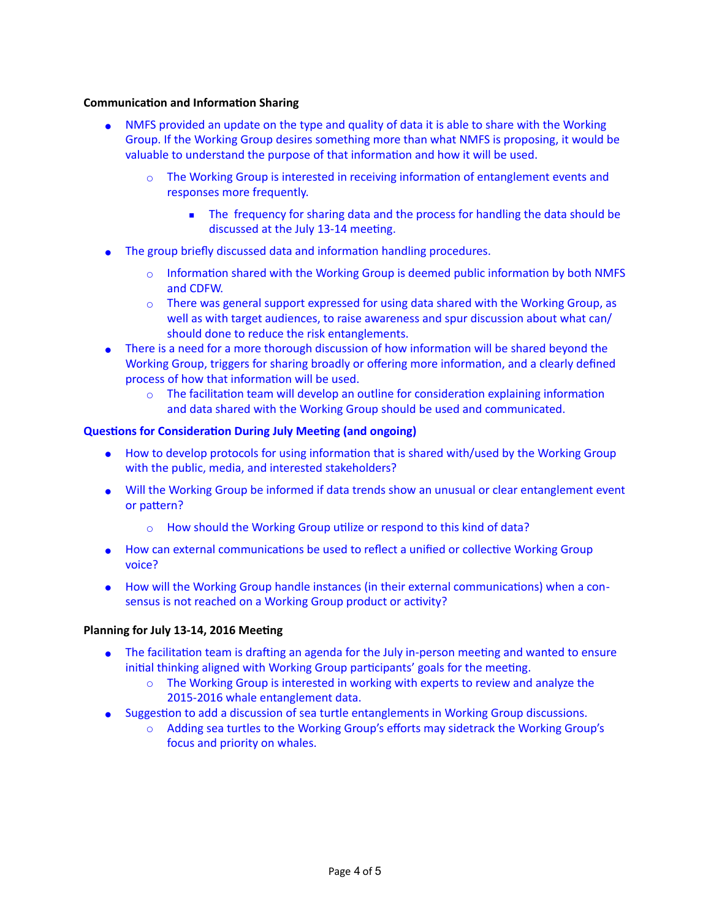# **Communication and Information Sharing**

- NMFS provided an update on the type and quality of data it is able to share with the Working Group. If the Working Group desires something more than what NMFS is proposing, it would be valuable to understand the purpose of that information and how it will be used.
	- $\circ$  The Working Group is interested in receiving information of entanglement events and responses more frequently.
		- The frequency for sharing data and the process for handling the data should be discussed at the July 13-14 meeting.
- The group briefly discussed data and information handling procedures.
	- $\circ$  Information shared with the Working Group is deemed public information by both NMFS and CDFW.
	- $\circ$  There was general support expressed for using data shared with the Working Group, as well as with target audiences, to raise awareness and spur discussion about what can/ should done to reduce the risk entanglements.
- There is a need for a more thorough discussion of how information will be shared beyond the Working Group, triggers for sharing broadly or offering more information, and a clearly defined process of how that information will be used.
	- $\circ$  The facilitation team will develop an outline for consideration explaining information and data shared with the Working Group should be used and communicated.

# **Questions for Consideration During July Meeting (and ongoing)**

- How to develop protocols for using information that is shared with/used by the Working Group with the public, media, and interested stakeholders?
- Will the Working Group be informed if data trends show an unusual or clear entanglement event or pattern?
	- How should the Working Group utilize or respond to this kind of data?
- How can external communications be used to reflect a unified or collective Working Group voice?
- How will the Working Group handle instances (in their external communications) when a consensus is not reached on a Working Group product or activity?

## **Planning for July 13-14, 2016 Meeting**

- The facilitation team is drafting an agenda for the July in-person meeting and wanted to ensure initial thinking aligned with Working Group participants' goals for the meeting.
	- $\circ$  The Working Group is interested in working with experts to review and analyze the 2015-2016 whale entanglement data.
- Suggestion to add a discussion of sea turtle entanglements in Working Group discussions.
	- Adding sea turtles to the Working Group's efforts may sidetrack the Working Group's focus and priority on whales.